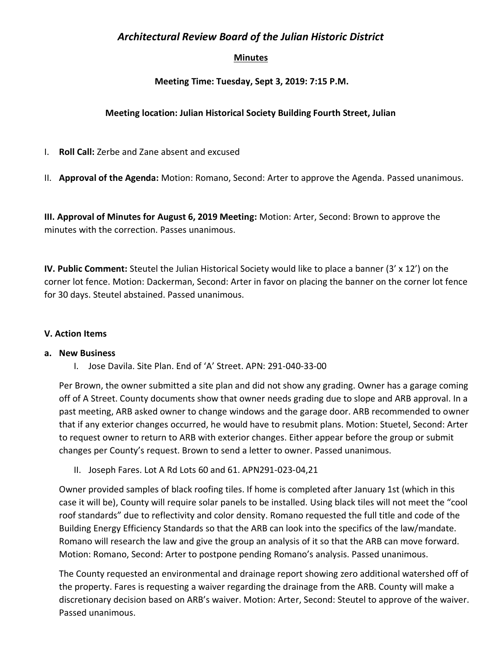# *Architectural Review Board of the Julian Historic District*

## **Minutes**

## **Meeting Time: Tuesday, Sept 3, 2019: 7:15 P.M.**

## **Meeting location: Julian Historical Society Building Fourth Street, Julian**

I. **Roll Call:** Zerbe and Zane absent and excused

II. **Approval of the Agenda:** Motion: Romano, Second: Arter to approve the Agenda. Passed unanimous.

**III. Approval of Minutes for August 6, 2019 Meeting:** Motion: Arter, Second: Brown to approve the minutes with the correction. Passes unanimous.

**IV. Public Comment:** Steutel the Julian Historical Society would like to place a banner (3' x 12') on the corner lot fence. Motion: Dackerman, Second: Arter in favor on placing the banner on the corner lot fence for 30 days. Steutel abstained. Passed unanimous.

### **V. Action Items**

### **a. New Business**

I. Jose Davila. Site Plan. End of 'A' Street. APN: 291-040-33-00

Per Brown, the owner submitted a site plan and did not show any grading. Owner has a garage coming off of A Street. County documents show that owner needs grading due to slope and ARB approval. In a past meeting, ARB asked owner to change windows and the garage door. ARB recommended to owner that if any exterior changes occurred, he would have to resubmit plans. Motion: Stuetel, Second: Arter to request owner to return to ARB with exterior changes. Either appear before the group or submit changes per County's request. Brown to send a letter to owner. Passed unanimous.

II. Joseph Fares. Lot A Rd Lots 60 and 61. APN291-023-04,21

Owner provided samples of black roofing tiles. If home is completed after January 1st (which in this case it will be), County will require solar panels to be installed. Using black tiles will not meet the "cool roof standards" due to reflectivity and color density. Romano requested the full title and code of the Building Energy Efficiency Standards so that the ARB can look into the specifics of the law/mandate. Romano will research the law and give the group an analysis of it so that the ARB can move forward. Motion: Romano, Second: Arter to postpone pending Romano's analysis. Passed unanimous.

The County requested an environmental and drainage report showing zero additional watershed off of the property. Fares is requesting a waiver regarding the drainage from the ARB. County will make a discretionary decision based on ARB's waiver. Motion: Arter, Second: Steutel to approve of the waiver. Passed unanimous.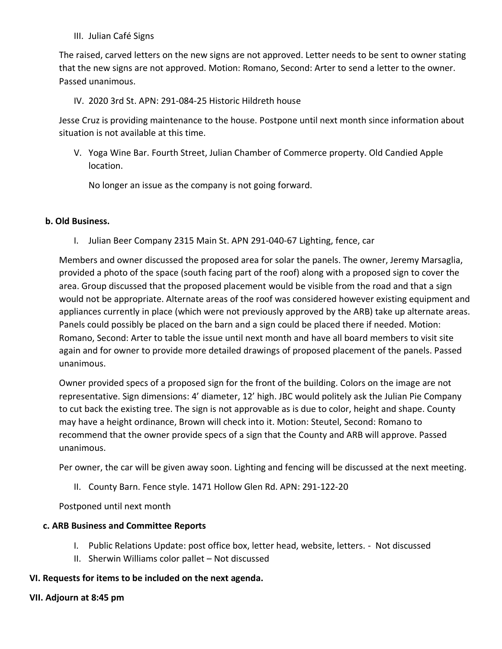III. Julian Café Signs

The raised, carved letters on the new signs are not approved. Letter needs to be sent to owner stating that the new signs are not approved. Motion: Romano, Second: Arter to send a letter to the owner. Passed unanimous.

### IV. 2020 3rd St. APN: 291-084-25 Historic Hildreth house

Jesse Cruz is providing maintenance to the house. Postpone until next month since information about situation is not available at this time.

V. Yoga Wine Bar. Fourth Street, Julian Chamber of Commerce property. Old Candied Apple location.

No longer an issue as the company is not going forward.

### **b. Old Business.**

I. Julian Beer Company 2315 Main St. APN 291-040-67 Lighting, fence, car

Members and owner discussed the proposed area for solar the panels. The owner, Jeremy Marsaglia, provided a photo of the space (south facing part of the roof) along with a proposed sign to cover the area. Group discussed that the proposed placement would be visible from the road and that a sign would not be appropriate. Alternate areas of the roof was considered however existing equipment and appliances currently in place (which were not previously approved by the ARB) take up alternate areas. Panels could possibly be placed on the barn and a sign could be placed there if needed. Motion: Romano, Second: Arter to table the issue until next month and have all board members to visit site again and for owner to provide more detailed drawings of proposed placement of the panels. Passed unanimous.

Owner provided specs of a proposed sign for the front of the building. Colors on the image are not representative. Sign dimensions: 4' diameter, 12' high. JBC would politely ask the Julian Pie Company to cut back the existing tree. The sign is not approvable as is due to color, height and shape. County may have a height ordinance, Brown will check into it. Motion: Steutel, Second: Romano to recommend that the owner provide specs of a sign that the County and ARB will approve. Passed unanimous.

Per owner, the car will be given away soon. Lighting and fencing will be discussed at the next meeting.

II. County Barn. Fence style. 1471 Hollow Glen Rd. APN: 291-122-20

Postponed until next month

### **c. ARB Business and Committee Reports**

- I. Public Relations Update: post office box, letter head, website, letters. Not discussed
- II. Sherwin Williams color pallet Not discussed

### **VI. Requests for items to be included on the next agenda.**

### **VII. Adjourn at 8:45 pm**